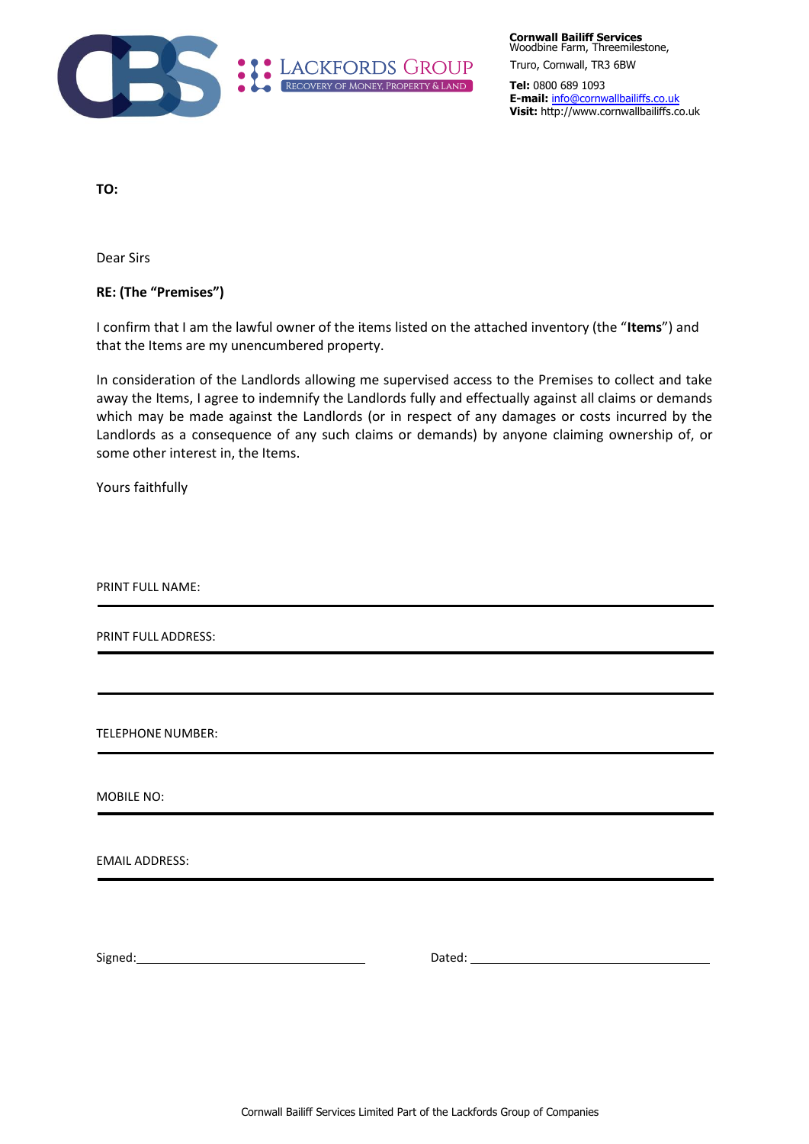

**Cornwall Bailiff Services** Woodbine Farm, Threemilestone, Truro, Cornwall, TR3 6BW

**Tel:** 0800 689 1093 **E-mail:** info@cornwallbailiffs.co.uk **Visit:** http://www.cornwallbailiffs.co.uk

**TO:**

Dear Sirs

**RE: (The "Premises")**

I confirm that I am the lawful owner of the items listed on the attached inventory (the "**Items**") and that the Items are my unencumbered property.

In consideration of the Landlords allowing me supervised access to the Premises to collect and take away the Items, I agree to indemnify the Landlords fully and effectually against all claims or demands which may be made against the Landlords (or in respect of any damages or costs incurred by the Landlords as a consequence of any such claims or demands) by anyone claiming ownership of, or some other interest in, the Items.

Yours faithfully

PRINT FULL NAME:

PRINT FULL ADDRESS:

TELEPHONE NUMBER:

MOBILE NO:

EMAIL ADDRESS:

Signed: Dated: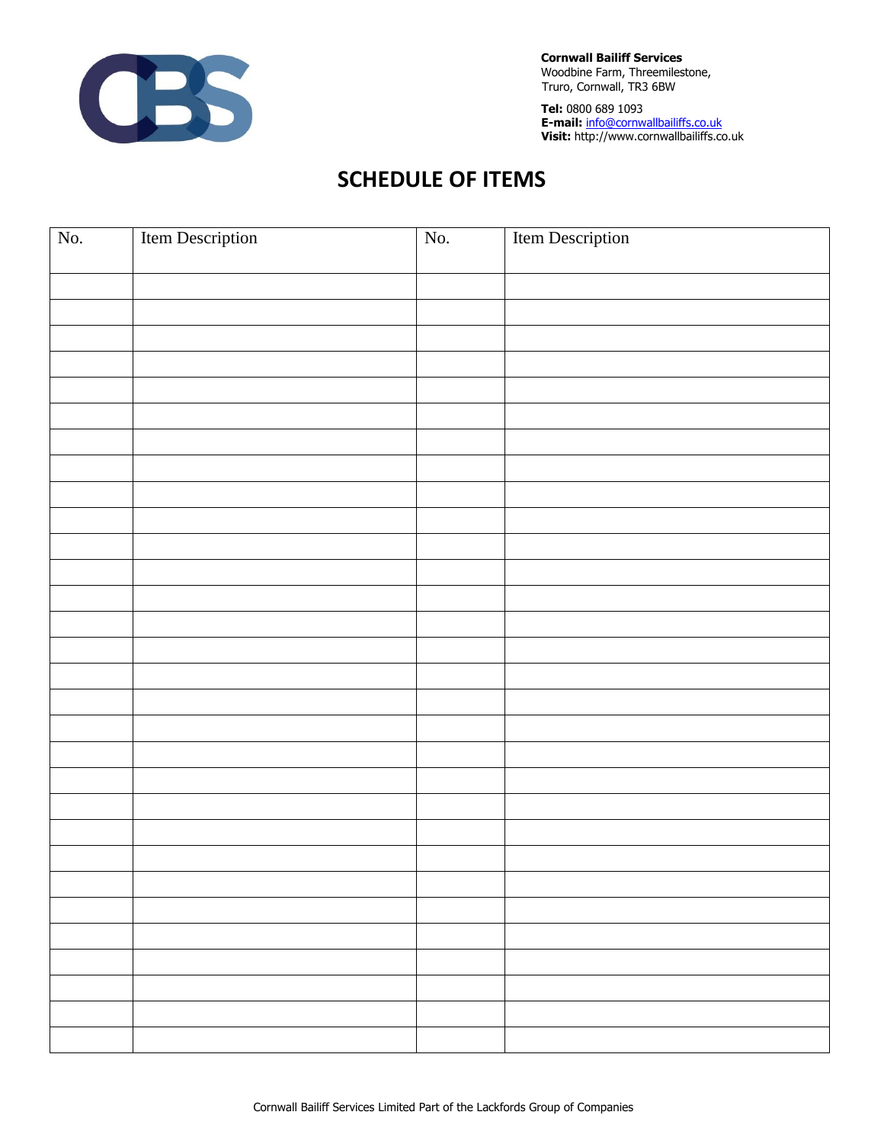

**Cornwall Bailiff Services** Woodbine Farm, Threemilestone, Truro, Cornwall, TR3 6BW

**Tel:** 0800 689 1093 **E-mail:** info@cornwallbailiffs.co.uk **Visit:** http://www.cornwallbailiffs.co.uk

## **SCHEDULE OF ITEMS**

| No. | Item Description | No. | <b>Item Description</b> |
|-----|------------------|-----|-------------------------|
|     |                  |     |                         |
|     |                  |     |                         |
|     |                  |     |                         |
|     |                  |     |                         |
|     |                  |     |                         |
|     |                  |     |                         |
|     |                  |     |                         |
|     |                  |     |                         |
|     |                  |     |                         |
|     |                  |     |                         |
|     |                  |     |                         |
|     |                  |     |                         |
|     |                  |     |                         |
|     |                  |     |                         |
|     |                  |     |                         |
|     |                  |     |                         |
|     |                  |     |                         |
|     |                  |     |                         |
|     |                  |     |                         |
|     |                  |     |                         |
|     |                  |     |                         |
|     |                  |     |                         |
|     |                  |     |                         |
|     |                  |     |                         |
|     |                  |     |                         |
|     |                  |     |                         |
|     |                  |     |                         |
|     |                  |     |                         |
|     |                  |     |                         |
|     |                  |     |                         |